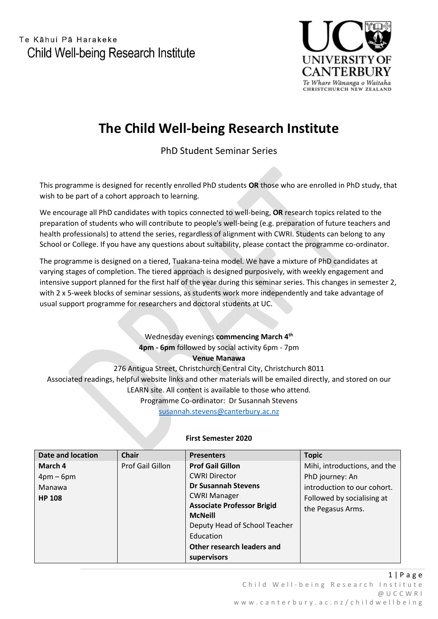

# **The Child Well-being Research Institute**

PhD Student Seminar Series

This programme is designed for recently enrolled PhD students **OR** those who are enrolled in PhD study, that wish to be part of a cohort approach to learning.

We encourage all PhD candidates with topics connected to well-being, **OR** research topics related to the preparation of students who will contribute to people's well-being (e.g. preparation of future teachers and health professionals) to attend the series, regardless of alignment with CWRI. Students can belong to any School or College. If you have any questions about suitability, please contact the programme co-ordinator.

The programme is designed on a tiered, Tuakana-teina model. We have a mixture of PhD candidates at varying stages of completion. The tiered approach is designed purposively, with weekly engagement and intensive support planned for the first half of the year during this seminar series. This changes in semester 2, with 2 x 5-week blocks of seminar sessions, as students work more independently and take advantage of usual support programme for researchers and doctoral students at UC.

> Wednesday evenings **commencing March 4 th 4pm - 6pm** followed by social activity 6pm - 7pm **Venue Manawa**

276 Antigua Street, Christchurch Central City, Christchurch 8011 Associated readings, helpful website links and other materials will be emailed directly, and stored on our LEARN site. All content is available to those who attend. Programme Co-ordinator: Dr Susannah Stevens [susannah.stevens@canterbury.ac.nz](mailto:susannah.stevens@canterbury.ac.nz)

| <b>Date and location</b> | <b>Chair</b>     | <b>Presenters</b>                 | <b>Topic</b>                 |
|--------------------------|------------------|-----------------------------------|------------------------------|
| March 4                  | Prof Gail Gillon | <b>Prof Gail Gillon</b>           | Mihi, introductions, and the |
| $4pm-6pm$                |                  | <b>CWRI Director</b>              | PhD journey: An              |
| Manawa                   |                  | <b>Dr Susannah Stevens</b>        | introduction to our cohort.  |
| <b>HP 108</b>            |                  | <b>CWRI Manager</b>               | Followed by socialising at   |
|                          |                  | <b>Associate Professor Brigid</b> | the Pegasus Arms.            |
|                          |                  | <b>McNeill</b>                    |                              |
|                          |                  | Deputy Head of School Teacher     |                              |
|                          |                  | Education                         |                              |
|                          |                  | Other research leaders and        |                              |
|                          |                  | supervisors                       |                              |

### **First Semester 2020**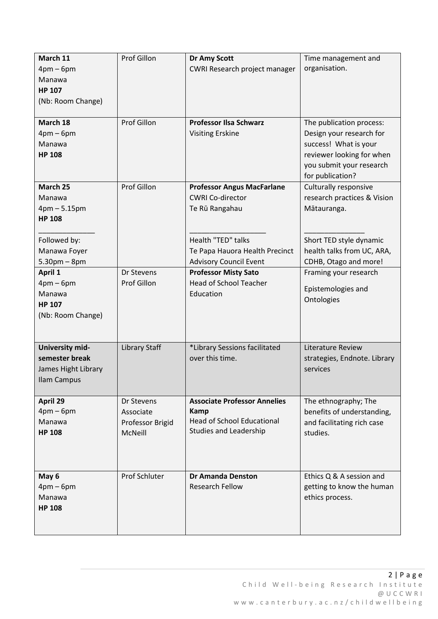| March 11<br>$4pm-6pm$<br>Manawa<br><b>HP 107</b><br>(Nb: Room Change)          | Prof Gillon                                                   | <b>Dr Amy Scott</b><br>CWRI Research project manager                                                                     | Time management and<br>organisation.                                                                                                                       |
|--------------------------------------------------------------------------------|---------------------------------------------------------------|--------------------------------------------------------------------------------------------------------------------------|------------------------------------------------------------------------------------------------------------------------------------------------------------|
| March 18<br>$4pm-6pm$<br>Manawa<br><b>HP 108</b>                               | Prof Gillon                                                   | <b>Professor Ilsa Schwarz</b><br><b>Visiting Erskine</b>                                                                 | The publication process:<br>Design your research for<br>success! What is your<br>reviewer looking for when<br>you submit your research<br>for publication? |
| March 25<br>Manawa<br>$4pm - 5.15pm$<br><b>HP 108</b>                          | Prof Gillon                                                   | <b>Professor Angus MacFarlane</b><br><b>CWRI Co-director</b><br>Te Rū Rangahau                                           | Culturally responsive<br>research practices & Vision<br>Mātauranga.                                                                                        |
| Followed by:<br>Manawa Foyer<br>$5.30pm - 8pm$                                 |                                                               | Health "TED" talks<br>Te Papa Hauora Health Precinct<br><b>Advisory Council Event</b>                                    | Short TED style dynamic<br>health talks from UC, ARA,<br>CDHB, Otago and more!                                                                             |
| April 1<br>$4pm-6pm$<br>Manawa<br><b>HP 107</b><br>(Nb: Room Change)           | Dr Stevens<br>Prof Gillon                                     | <b>Professor Misty Sato</b><br><b>Head of School Teacher</b><br>Education                                                | Framing your research<br>Epistemologies and<br>Ontologies                                                                                                  |
| University mid-<br>semester break<br>James Hight Library<br><b>Ilam Campus</b> | <b>Library Staff</b>                                          | *Library Sessions facilitated<br>over this time.                                                                         | Literature Review<br>strategies, Endnote. Library<br>services                                                                                              |
| April 29<br>$4pm-6pm$<br>Manawa<br><b>HP 108</b>                               | Dr Stevens<br>Associate<br>Professor Brigid<br><b>McNeill</b> | <b>Associate Professor Annelies</b><br><b>Kamp</b><br><b>Head of School Educational</b><br><b>Studies and Leadership</b> | The ethnography; The<br>benefits of understanding,<br>and facilitating rich case<br>studies.                                                               |
| May 6<br>$4pm-6pm$<br>Manawa<br><b>HP 108</b>                                  | Prof Schluter                                                 | <b>Dr Amanda Denston</b><br><b>Research Fellow</b>                                                                       | Ethics Q & A session and<br>getting to know the human<br>ethics process.                                                                                   |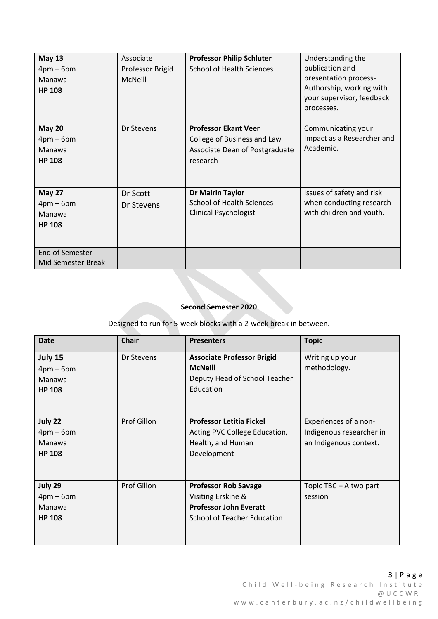| <b>May 13</b>      | Associate        | <b>Professor Philip Schluter</b> | Understanding the          |
|--------------------|------------------|----------------------------------|----------------------------|
| $4pm-6pm$          | Professor Brigid | <b>School of Health Sciences</b> | publication and            |
| Manawa             | McNeill          |                                  | presentation process-      |
| <b>HP 108</b>      |                  |                                  | Authorship, working with   |
|                    |                  |                                  | your supervisor, feedback  |
|                    |                  |                                  | processes.                 |
|                    |                  |                                  |                            |
| <b>May 20</b>      | Dr Stevens       | <b>Professor Ekant Veer</b>      | Communicating your         |
| $4pm-6pm$          |                  | College of Business and Law      | Impact as a Researcher and |
| Manawa             |                  | Associate Dean of Postgraduate   | Academic.                  |
| <b>HP 108</b>      |                  | research                         |                            |
|                    |                  |                                  |                            |
|                    |                  |                                  |                            |
| <b>May 27</b>      | Dr Scott         | Dr Mairin Taylor                 | Issues of safety and risk  |
| $4pm-6pm$          | Dr Stevens       | <b>School of Health Sciences</b> | when conducting research   |
| Manawa             |                  | <b>Clinical Psychologist</b>     | with children and youth.   |
| <b>HP 108</b>      |                  |                                  |                            |
|                    |                  |                                  |                            |
|                    |                  |                                  |                            |
| End of Semester    |                  |                                  |                            |
| Mid Semester Break |                  |                                  |                            |

#### **Second Semester 2020**

## Designed to run for 5-week blocks with a 2-week break in between.

| <b>Date</b>                                     | <b>Chair</b>       | <b>Presenters</b>                                                                                                        | <b>Topic</b>                                                                |
|-------------------------------------------------|--------------------|--------------------------------------------------------------------------------------------------------------------------|-----------------------------------------------------------------------------|
| July 15<br>$4pm-6pm$<br>Manawa<br><b>HP 108</b> | Dr Stevens         | <b>Associate Professor Brigid</b><br><b>McNeill</b><br>Deputy Head of School Teacher<br>Education                        | Writing up your<br>methodology.                                             |
| July 22<br>$4pm-6pm$<br>Manawa<br><b>HP 108</b> | Prof Gillon        | <b>Professor Letitia Fickel</b><br>Acting PVC College Education,<br>Health, and Human<br>Development                     | Experiences of a non-<br>Indigenous researcher in<br>an Indigenous context. |
| July 29<br>$4pm-6pm$<br>Manawa<br><b>HP 108</b> | <b>Prof Gillon</b> | <b>Professor Rob Savage</b><br>Visiting Erskine &<br><b>Professor John Everatt</b><br><b>School of Teacher Education</b> | Topic TBC - A two part<br>session                                           |